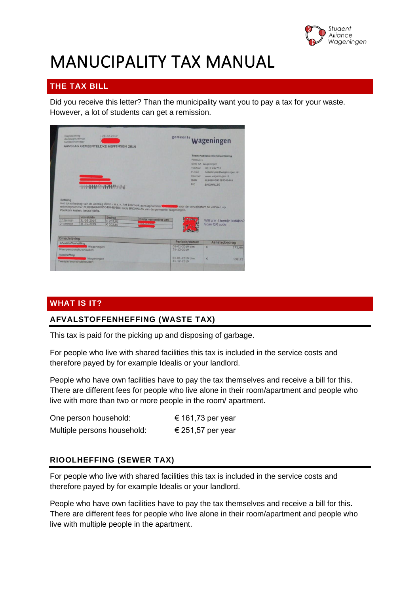

# MANUCIPALITY TAX MANUAL

# **THE TAX BILL**

Did you receive this letter? Than the municipality want you to pay a tax for your waste. However, a lot of students can get a remission.

| Dagtekening<br>Aanslagnummer<br>Subjectnummer    |                                        | $128 - 02 - 2019$<br>AANSLAG GEMEENTELIJKE HEFFINGEN 2019 |                                                                                                                                                                                               | gemeente                                                           | Wageningen                                                                                                                                                           |
|--------------------------------------------------|----------------------------------------|-----------------------------------------------------------|-----------------------------------------------------------------------------------------------------------------------------------------------------------------------------------------------|--------------------------------------------------------------------|----------------------------------------------------------------------------------------------------------------------------------------------------------------------|
|                                                  |                                        | <u> Կիկիկիկիրիթիկիկիկի</u>                                |                                                                                                                                                                                               | Postbus 1<br>Telefoon<br>E-mail<br>Internet<br><b>IBAN</b><br>BIC: | <b>Team Publieke Dienstverlening</b><br>6700 AA Wageningen<br>0317 492750<br>belastingen@wageningen.nl<br>www.wageningen.nl<br>NLB8BNGH0285040448<br><b>BNGHNL2G</b> |
| <b>Betaling</b>                                  | Voorkom kosten, betaal tijdig.         |                                                           | Het totaalbedrag van de aanslag dient u o.v.v. het kenmerk aanslagnummer voor de vervaldatum te voldoen op<br>rekeningnummer NL88BNGH0285040448/BIC-code BNGHNL2G van de gemeente Wageningen. |                                                                    |                                                                                                                                                                      |
| 1 <sup>e</sup> termijn<br>2 <sup>e</sup> termijn | Vervaldata<br>31-03-2019<br>31-05-2019 | Bedrag<br>$E$ 202,81<br>€ 202,80                          | Onder vermelding van                                                                                                                                                                          |                                                                    | Wilt u in 1 termijn betalen?<br>Scan QR code                                                                                                                         |
| Omschrijving<br>Afvalstoffenheffing              | Wageningen<br>Meerpersoonshuishouden   |                                                           |                                                                                                                                                                                               | Periode/datum<br>$01 - 01 - 2019$ t/m<br>$31 - 12 - 2019$          | Aanslagbedrag<br>€<br>272,88                                                                                                                                         |

## **WHAT IS IT?**

## **AFVALSTOFFENHEFFING (WASTE TAX)**

This tax is paid for the picking up and disposing of garbage.

For people who live with shared facilities this tax is included in the service costs and therefore payed by for example Idealis or your landlord.

People who have own facilities have to pay the tax themselves and receive a bill for this. There are different fees for people who live alone in their room/apartment and people who live with more than two or more people in the room/ apartment.

| One person household:       | € 161,73 per year |
|-----------------------------|-------------------|
| Multiple persons household: | € 251,57 per year |

## **RIOOLHEFFING (SEWER TAX)**

For people who live with shared facilities this tax is included in the service costs and therefore payed by for example Idealis or your landlord.

People who have own facilities have to pay the tax themselves and receive a bill for this. There are different fees for people who live alone in their room/apartment and people who live with multiple people in the apartment.